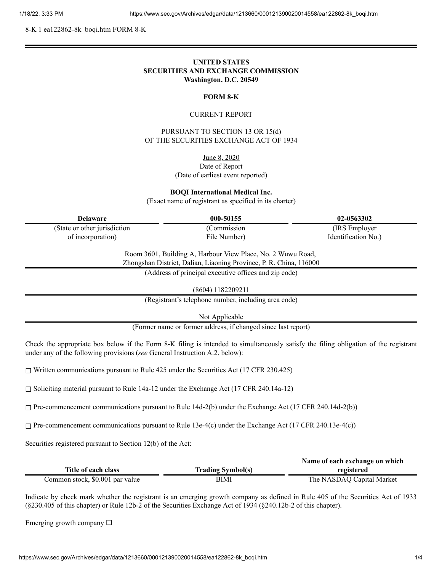8-K 1 ea122862-8k\_boqi.htm FORM 8-K

# **UNITED STATES SECURITIES AND EXCHANGE COMMISSION Washington, D.C. 20549**

#### **FORM 8-K**

### CURRENT REPORT

PURSUANT TO SECTION 13 OR 15(d) OF THE SECURITIES EXCHANGE ACT OF 1934

> June 8, 2020 Date of Report (Date of earliest event reported)

**BOQI International Medical Inc.**

(Exact name of registrant as specified in its charter)

| <b>Delaware</b>               | 000-50155    | 02-0563302          |
|-------------------------------|--------------|---------------------|
| (State or other jurisdiction) | (Commission) | (IRS Employer)      |
| of incorporation)             | File Number) | Identification No.) |
|                               |              |                     |

Room 3601, Building A, Harbour View Place, No. 2 Wuwu Road,

Zhongshan District, Dalian, Liaoning Province, P. R. China, 116000

(Address of principal executive offices and zip code)

(8604) 1182209211

(Registrant's telephone number, including area code)

Not Applicable

(Former name or former address, if changed since last report)

Check the appropriate box below if the Form 8-K filing is intended to simultaneously satisfy the filing obligation of the registrant under any of the following provisions (*see* General Instruction A.2. below):

 $\Box$  Written communications pursuant to Rule 425 under the Securities Act (17 CFR 230.425)

☐ Soliciting material pursuant to Rule 14a-12 under the Exchange Act (17 CFR 240.14a-12)

 $\Box$  Pre-commencement communications pursuant to Rule 14d-2(b) under the Exchange Act (17 CFR 240.14d-2(b))

 $\Box$  Pre-commencement communications pursuant to Rule 13e-4(c) under the Exchange Act (17 CFR 240.13e-4(c))

Securities registered pursuant to Section 12(b) of the Act:

|                                 |                          | Name of each exchange on which |
|---------------------------------|--------------------------|--------------------------------|
| Title of each class             | <b>Trading Symbol(s)</b> | registered                     |
| Common stock, \$0.001 par value | BIMI                     | The NASDAQ Capital Market      |

Indicate by check mark whether the registrant is an emerging growth company as defined in Rule 405 of the Securities Act of 1933 (§230.405 of this chapter) or Rule 12b-2 of the Securities Exchange Act of 1934 (§240.12b-2 of this chapter).

Emerging growth company  $\Box$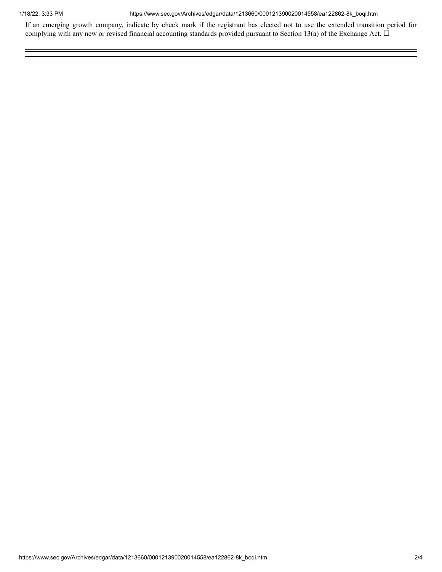1/18/22, 3:33 PM https://www.sec.gov/Archives/edgar/data/1213660/000121390020014558/ea122862-8k\_boqi.htm

If an emerging growth company, indicate by check mark if the registrant has elected not to use the extended transition period for complying with any new or revised financial accounting standards provided pursuant to Section 13(a) of the Exchange Act.  $\Box$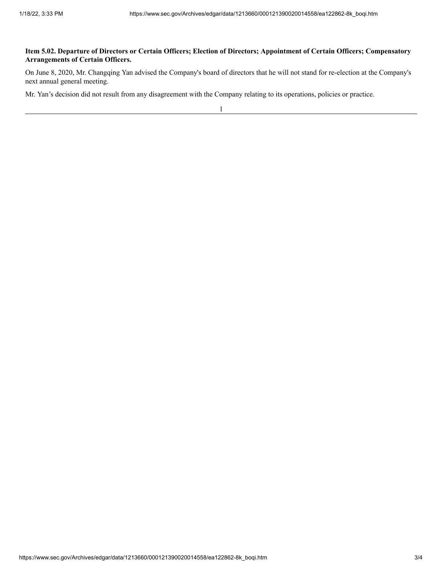# Item 5.02. Departure of Directors or Certain Officers; Election of Directors; Appointment of Certain Officers; Compensatory **Arrangements of Certain Officers.**

On June 8, 2020, Mr. Changqing Yan advised the Company's board of directors that he will not stand for re-election at the Company's next annual general meeting.

Mr. Yan's decision did not result from any disagreement with the Company relating to its operations, policies or practice.